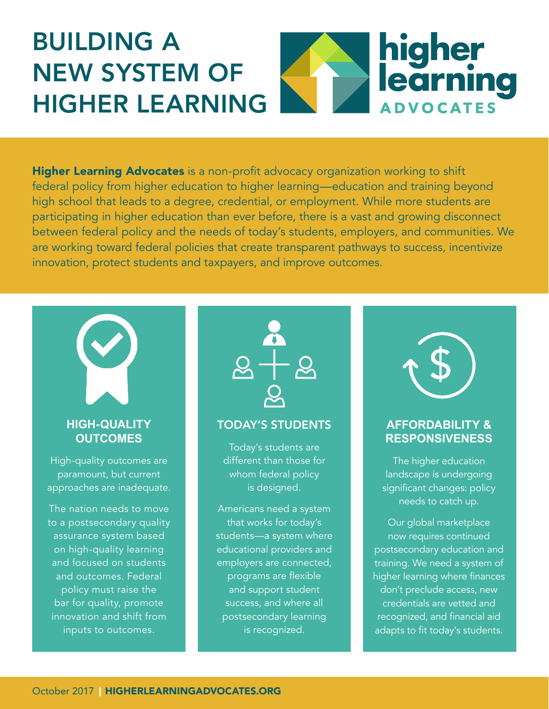# BUILDING A higher<br>learning NEW SYSTEM OF HIGHER LEARNING **ADVOCATES**

[Higher Learning Advocates](https://www.higherlearningadvocates.org/) is a non-profit advocacy organization working to shift federal policy from higher education to higher learning—education and training beyond high school that leads to a degree, credential, or employment. While more students are participating in higher education than ever before, there is a vast and growing disconnect between federal policy and the needs of today's students, employers, and communities. We are working toward federal policies that create transparent pathways to success, incentivize innovation, protect students and taxpayers, and improve outcomes.



## **HIGH-QUALITY OUTCOMES**

High-quality outcomes are paramount, but current approaches are inadequate.

The nation needs to move to a postsecondary quality assurance system based on high-quality learning and focused on students and outcomes. Federal policy must raise the bar for quality, promote innovation and shift from inputs to outcomes.



#### TODAY'S STUDENTS

Today's students are different than those for whom federal policy is designed.

Americans need a system that works for today's students—a system where educational providers and employers are connected, programs are flexible and support student success, and where all postsecondary learning is recognized.



### **AFFORDABILITY & RESPONSIVENESS**

The higher education landscape is undergoing significant changes: policy needs to catch up.

Our global marketplace now requires continued postsecondary education and training. We need a system of higher learning where finances don't preclude access, new credentials are vetted and recognized, and financial aid adapts to fit today's students.